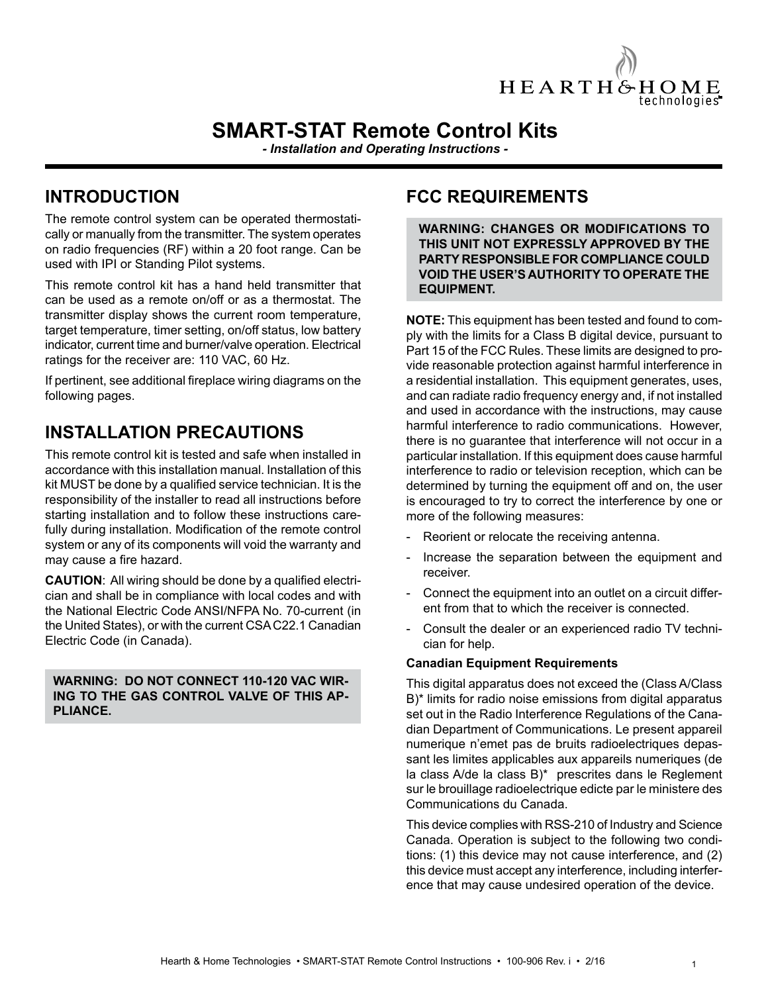

# **SMART-STAT Remote Control Kits**

*- Installation and Operating Instructions -*

# **INTRODUCTION**

The remote control system can be operated thermostatically or manually from the transmitter. The system operates on radio frequencies (RF) within a 20 foot range. Can be used with IPI or Standing Pilot systems.

This remote control kit has a hand held transmitter that can be used as a remote on/off or as a thermostat. The transmitter display shows the current room temperature, target temperature, timer setting, on/off status, low battery indicator, current time and burner/valve operation. Electrical ratings for the receiver are: 110 VAC, 60 Hz.

If pertinent, see additional fireplace wiring diagrams on the following pages.

# **INSTALLATION PRECAUTIONS**

This remote control kit is tested and safe when installed in accordance with this installation manual. Installation of this kit MUST be done by a qualified service technician. It is the responsibility of the installer to read all instructions before starting installation and to follow these instructions carefully during installation. Modification of the remote control system or any of its components will void the warranty and may cause a fire hazard.

**CAUTION**: All wiring should be done by a qualified electrician and shall be in compliance with local codes and with the National Electric Code ANSI/NFPA No. 70-current (in the United States), or with the current CSA C22.1 Canadian Electric Code (in Canada).

#### **WARNING: DO NOT CONNECT 110-120 VAC WIR-ING TO THE GAS CONTROL VALVE OF THIS AP-PLIANCE.**

### **FCC REQUIREMENTS**

**WARNING: CHANGES OR MODIFICATIONS TO THIS UNIT NOT EXPRESSLY APPROVED BY THE PARTY RESPONSIBLE FOR COMPLIANCE COULD VOID THE USER'S AUTHORITY TO OPERATE THE EQUIPMENT.**

**NOTE:** This equipment has been tested and found to comply with the limits for a Class B digital device, pursuant to Part 15 of the FCC Rules. These limits are designed to provide reasonable protection against harmful interference in a residential installation. This equipment generates, uses, and can radiate radio frequency energy and, if not installed and used in accordance with the instructions, may cause harmful interference to radio communications. However, there is no guarantee that interference will not occur in a particular installation. If this equipment does cause harmful interference to radio or television reception, which can be determined by turning the equipment off and on, the user is encouraged to try to correct the interference by one or more of the following measures:

- Reorient or relocate the receiving antenna.
- Increase the separation between the equipment and receiver.
- Connect the equipment into an outlet on a circuit different from that to which the receiver is connected.
- Consult the dealer or an experienced radio TV technician for help.

#### **Canadian Equipment Requirements**

This digital apparatus does not exceed the (Class A/Class B)\* limits for radio noise emissions from digital apparatus set out in the Radio Interference Regulations of the Canadian Department of Communications. Le present appareil numerique n'emet pas de bruits radioelectriques depassant les limites applicables aux appareils numeriques (de la class A/de la class B)\* prescrites dans le Reglement sur le brouillage radioelectrique edicte par le ministere des Communications du Canada.

This device complies with RSS-210 of Industry and Science Canada. Operation is subject to the following two conditions: (1) this device may not cause interference, and (2) this device must accept any interference, including interference that may cause undesired operation of the device.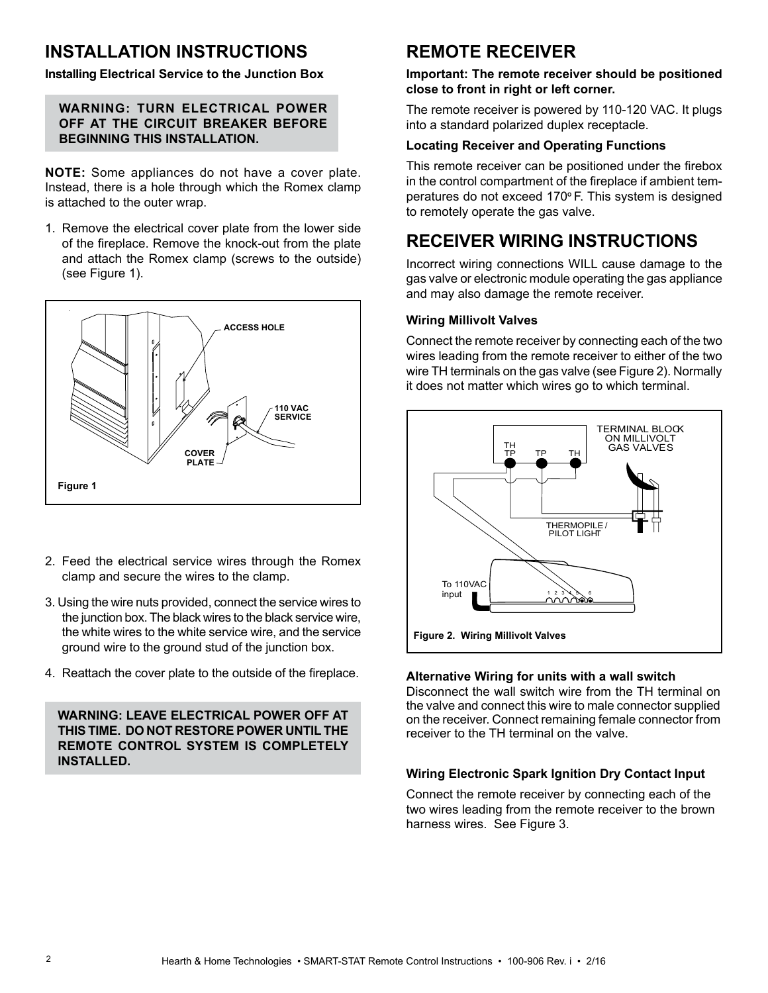# **INSTALLATION INSTRUCTIONS**

**Installing Electrical Service to the Junction Box**

#### **WARNING: TURN ELECTRICAL POWER OFF AT THE CIRCUIT BREAKER BEFORE BEGINNING THIS INSTALLATION.**

**NOTE:** Some appliances do not have a cover plate. Instead, there is a hole through which the Romex clamp is attached to the outer wrap.

1. Remove the electrical cover plate from the lower side of the fireplace. Remove the knock-out from the plate and attach the Romex clamp (screws to the outside) (see Figure 1).



- 2. Feed the electrical service wires through the Romex clamp and secure the wires to the clamp.
- 3. Using the wire nuts provided, connect the service wires to the junction box. The black wires to the black service wire, the white wires to the white service wire, and the service ground wire to the ground stud of the junction box.
- 4. Reattach the cover plate to the outside of the fireplace.

**WARNING: LEAVE ELECTRICAL POWER OFF AT THIS TIME. DO NOT RESTORE POWER UNTIL THE REMOTE CONTROL SYSTEM IS COMPLETELY INSTALLED.** 

# **REMOTE RECEIVER**

#### **Important: The remote receiver should be positioned close to front in right or left corner.**

The remote receiver is powered by 110-120 VAC. It plugs into a standard polarized duplex receptacle.

#### **Locating Receiver and Operating Functions**

This remote receiver can be positioned under the firebox in the control compartment of the fireplace if ambient temperatures do not exceed 170º F. This system is designed to remotely operate the gas valve.

# **RECEIVER WIRING INSTRUCTIONS**

Incorrect wiring connections WILL cause damage to the gas valve or electronic module operating the gas appliance and may also damage the remote receiver.

#### **Wiring Millivolt Valves**

Connect the remote receiver by connecting each of the two wires leading from the remote receiver to either of the two wire TH terminals on the gas valve (see Figure 2). Normally it does not matter which wires go to which terminal.



#### **Alternative Wiring for units with a wall switch**

Disconnect the wall switch wire from the TH terminal on the valve and connect this wire to male connector supplied on the receiver. Connect remaining female connector from receiver to the TH terminal on the valve.

#### **Wiring Electronic Spark Ignition Dry Contact Input**

Connect the remote receiver by connecting each of the two wires leading from the remote receiver to the brown harness wires. See Figure 3.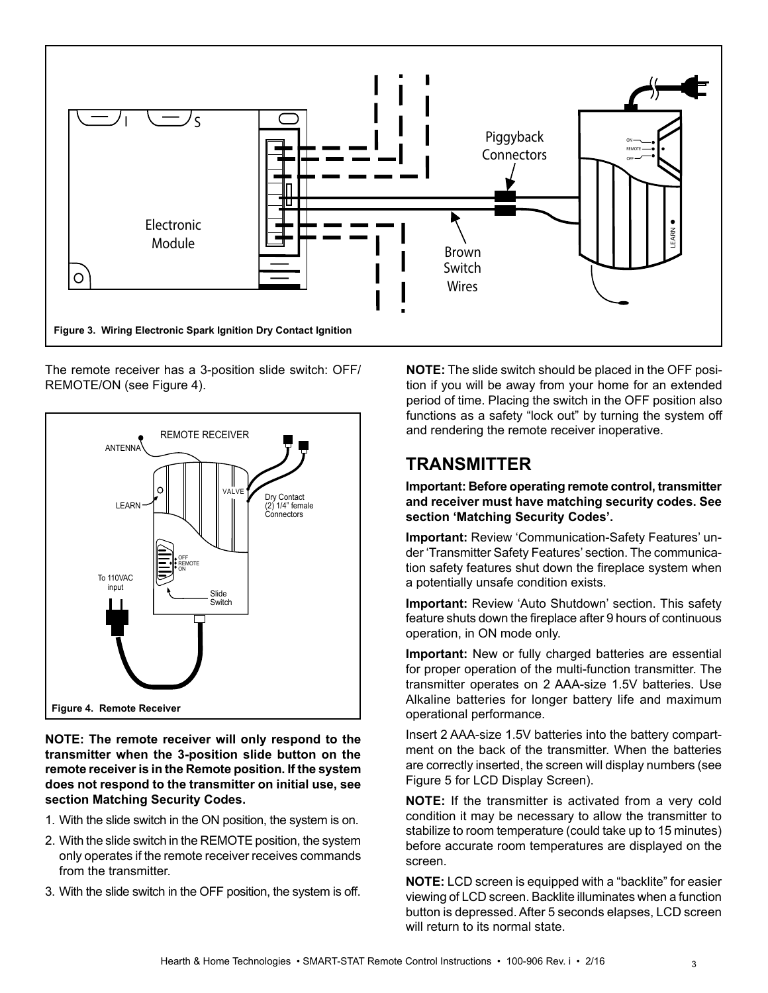

The remote receiver has a 3-position slide switch: OFF/ REMOTE/ON (see Figure 4).



**NOTE: The remote receiver will only respond to the transmitter when the 3-position slide button on the remote receiver is in the Remote position. If the system does not respond to the transmitter on initial use, see section Matching Security Codes.**

- 1. With the slide switch in the ON position, the system is on.
- 2. With the slide switch in the REMOTE position, the system only operates if the remote receiver receives commands from the transmitter.
- 3. With the slide switch in the OFF position, the system is off.

**NOTE:** The slide switch should be placed in the OFF position if you will be away from your home for an extended period of time. Placing the switch in the OFF position also functions as a safety "lock out" by turning the system off and rendering the remote receiver inoperative.

# **TRANSMITTER**

**Important: Before operating remote control, transmitter and receiver must have matching security codes. See section 'Matching Security Codes'.**

**Important:** Review 'Communication-Safety Features' under 'Transmitter Safety Features' section. The communication safety features shut down the fireplace system when a potentially unsafe condition exists.

**Important:** Review 'Auto Shutdown' section. This safety feature shuts down the fireplace after 9 hours of continuous operation, in ON mode only.

**Important:** New or fully charged batteries are essential for proper operation of the multi-function transmitter. The transmitter operates on 2 AAA-size 1.5V batteries. Use Alkaline batteries for longer battery life and maximum operational performance.

Insert 2 AAA-size 1.5V batteries into the battery compartment on the back of the transmitter. When the batteries are correctly inserted, the screen will display numbers (see Figure 5 for LCD Display Screen).

**NOTE:** If the transmitter is activated from a very cold condition it may be necessary to allow the transmitter to stabilize to room temperature (could take up to 15 minutes) before accurate room temperatures are displayed on the screen.

**NOTE:** LCD screen is equipped with a "backlite" for easier viewing of LCD screen. Backlite illuminates when a function button is depressed. After 5 seconds elapses, LCD screen will return to its normal state.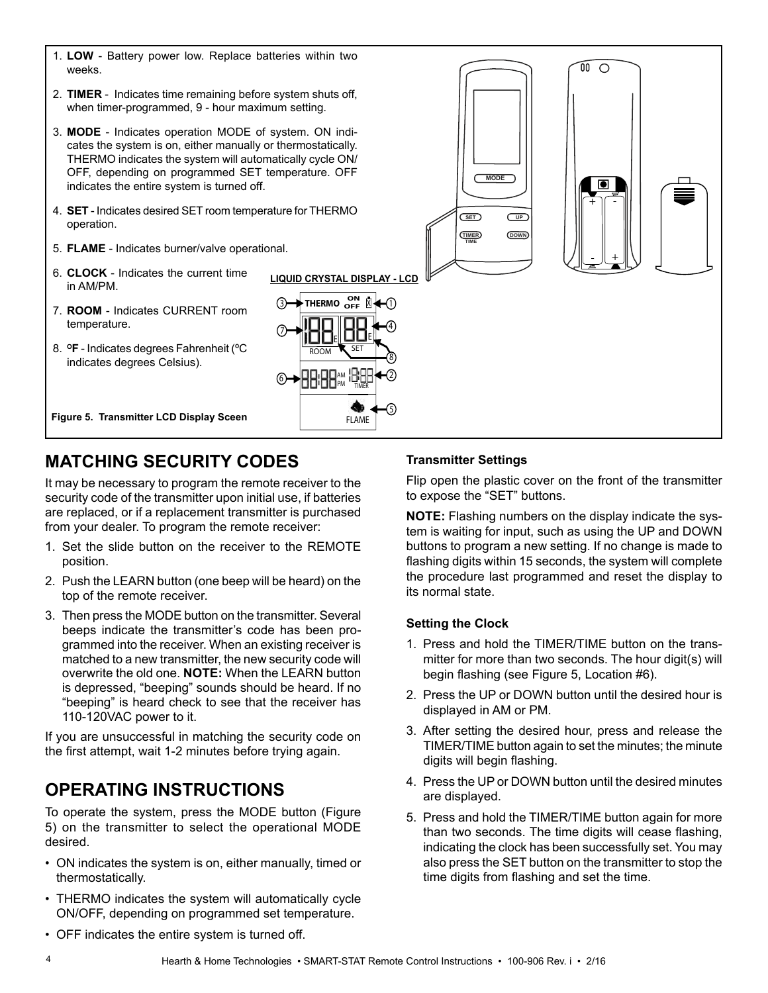- 1. **LOW** Battery power low. Replace batteries within two weeks.
- 2. **TIMER** Indicates time remaining before system shuts off, when timer-programmed, 9 - hour maximum setting.
- 3. **MODE** Indicates operation MODE of system. ON indicates the system is on, either manually or thermostatically. THERMO indicates the system will automatically cycle ON/ OFF, depending on programmed SET temperature. OFF indicates the entire system is turned off.
- 4. **SET** Indicates desired SET room temperature for THERMO operation.
- 5. **FLAME** Indicates burner/valve operational.
- 6. **CLOCK** Indicates the current time in AM/PM.
- 7. **ROOM**  Indicates CURRENT room temperature.
- 8. **OF** Indicates degrees Fahrenheit (ºC indicates degrees Celsius).

**Figure 5. Transmitter LCD Display Sceen** 





# **MATCHING SECURITY CODES**

It may be necessary to program the remote receiver to the security code of the transmitter upon initial use, if batteries are replaced, or if a replacement transmitter is purchased from your dealer. To program the remote receiver:

- 1. Set the slide button on the receiver to the REMOTE position.
- 2. Push the LEARN button (one beep will be heard) on the top of the remote receiver.
- 3. Then press the MODE button on the transmitter. Several beeps indicate the transmitter's code has been programmed into the receiver. When an existing receiver is matched to a new transmitter, the new security code will overwrite the old one. **NOTE:** When the LEARN button is depressed, "beeping" sounds should be heard. If no "beeping" is heard check to see that the receiver has 110-120VAC power to it.

If you are unsuccessful in matching the security code on the first attempt, wait 1-2 minutes before trying again.

# **OPERATING INSTRUCTIONS**

To operate the system, press the MODE button (Figure 5) on the transmitter to select the operational MODE desired.

- ON indicates the system is on, either manually, timed or thermostatically.
- THERMO indicates the system will automatically cycle ON/OFF, depending on programmed set temperature.

#### **Transmitter Settings**

Flip open the plastic cover on the front of the transmitter to expose the "SET" buttons.

**NOTE:** Flashing numbers on the display indicate the system is waiting for input, such as using the UP and DOWN buttons to program a new setting. If no change is made to flashing digits within 15 seconds, the system will complete the procedure last programmed and reset the display to its normal state.

#### **Setting the Clock**

- 1. Press and hold the TIMER/TIME button on the transmitter for more than two seconds. The hour digit(s) will begin flashing (see Figure 5, Location #6).
- 2. Press the UP or DOWN button until the desired hour is displayed in AM or PM.
- 3. After setting the desired hour, press and release the TIMER/TIME button again to set the minutes; the minute digits will begin flashing.
- 4. Press the UP or DOWN button until the desired minutes are displayed.
- 5. Press and hold the TIMER/TIME button again for more than two seconds. The time digits will cease flashing, indicating the clock has been successfully set. You may also press the SET button on the transmitter to stop the time digits from flashing and set the time.

• OFF indicates the entire system is turned off.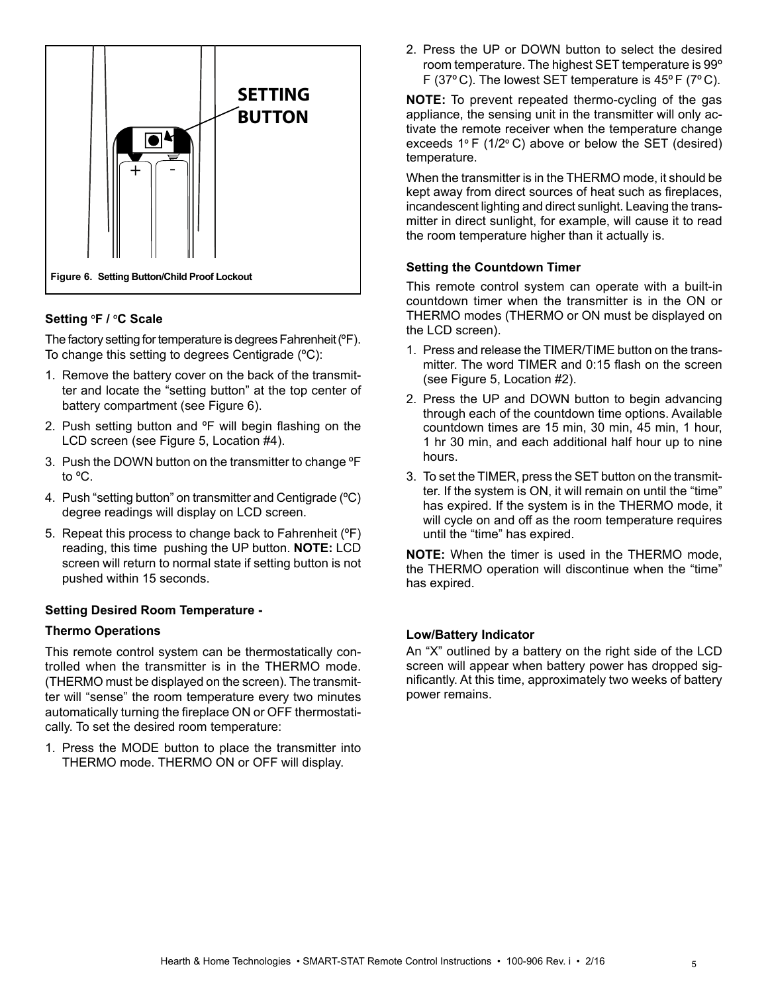

#### **Setting** º**F /** º**C Scale**

The factory setting for temperature is degrees Fahrenheit (ºF). To change this setting to degrees Centigrade (ºC):

- 1. Remove the battery cover on the back of the transmitter and locate the "setting button" at the top center of battery compartment (see Figure 6).
- 2. Push setting button and ºF will begin flashing on the LCD screen (see Figure 5, Location #4).
- 3. Push the DOWN button on the transmitter to change ºF to ºC.
- 4. Push "setting button" on transmitter and Centigrade (ºC) degree readings will display on LCD screen.
- 5. Repeat this process to change back to Fahrenheit (ºF) reading, this time pushing the UP button. **NOTE:** LCD screen will return to normal state if setting button is not pushed within 15 seconds.

#### **Setting Desired Room Temperature -**

#### **Thermo Operations**

This remote control system can be thermostatically controlled when the transmitter is in the THERMO mode. (THERMO must be displayed on the screen). The transmitter will "sense" the room temperature every two minutes automatically turning the fireplace ON or OFF thermostatically. To set the desired room temperature:

1. Press the MODE button to place the transmitter into THERMO mode. THERMO ON or OFF will display.

2. Press the UP or DOWN button to select the desired room temperature. The highest SET temperature is 99º F (37º C). The lowest SET temperature is 45º F (7º C).

**NOTE:** To prevent repeated thermo-cycling of the gas appliance, the sensing unit in the transmitter will only activate the remote receiver when the temperature change exceeds 1º F (1/2º C) above or below the SET (desired) temperature.

When the transmitter is in the THERMO mode, it should be kept away from direct sources of heat such as fireplaces, incandescent lighting and direct sunlight. Leaving the transmitter in direct sunlight, for example, will cause it to read the room temperature higher than it actually is.

#### **Setting the Countdown Timer**

This remote control system can operate with a built-in countdown timer when the transmitter is in the ON or THERMO modes (THERMO or ON must be displayed on the LCD screen).

- 1. Press and release the TIMER/TIME button on the transmitter. The word TIMER and 0:15 flash on the screen (see Figure 5, Location #2).
- 2. Press the UP and DOWN button to begin advancing through each of the countdown time options. Available countdown times are 15 min, 30 min, 45 min, 1 hour, 1 hr 30 min, and each additional half hour up to nine hours.
- 3. To set the TIMER, press the SET button on the transmitter. If the system is ON, it will remain on until the "time" has expired. If the system is in the THERMO mode, it will cycle on and off as the room temperature requires until the "time" has expired.

**NOTE:** When the timer is used in the THERMO mode, the THERMO operation will discontinue when the "time" has expired.

#### **Low/Battery Indicator**

An "X" outlined by a battery on the right side of the LCD screen will appear when battery power has dropped significantly. At this time, approximately two weeks of battery power remains.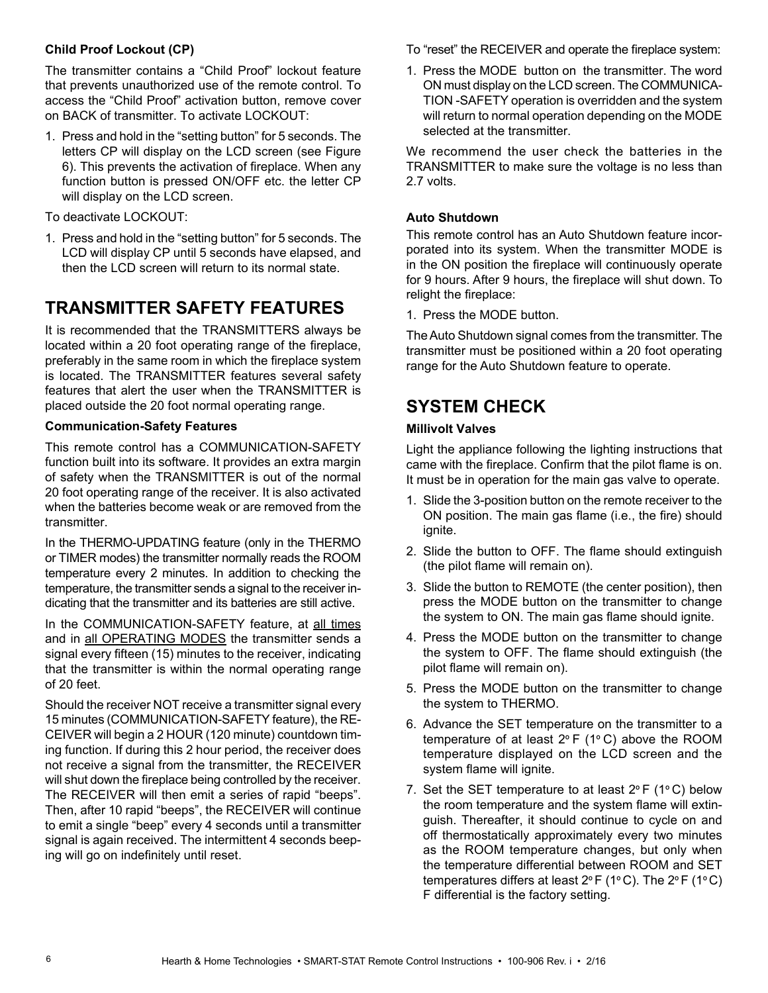#### **Child Proof Lockout (CP)**

The transmitter contains a "Child Proof" lockout feature that prevents unauthorized use of the remote control. To access the "Child Proof" activation button, remove cover on BACK of transmitter. To activate LOCKOUT:

1. Press and hold in the "setting button" for 5 seconds. The letters CP will display on the LCD screen (see Figure 6). This prevents the activation of fireplace. When any function button is pressed ON/OFF etc. the letter CP will display on the LCD screen.

To deactivate LOCKOUT:

1. Press and hold in the "setting button" for 5 seconds. The LCD will display CP until 5 seconds have elapsed, and then the LCD screen will return to its normal state.

# **TRANSMITTER SAFETY FEATURES**

It is recommended that the TRANSMITTERS always be located within a 20 foot operating range of the fireplace, preferably in the same room in which the fireplace system is located. The TRANSMITTER features several safety features that alert the user when the TRANSMITTER is placed outside the 20 foot normal operating range.

#### **Communication-Safety Features**

This remote control has a COMMUNICATION-SAFETY function built into its software. It provides an extra margin of safety when the TRANSMITTER is out of the normal 20 foot operating range of the receiver. It is also activated when the batteries become weak or are removed from the transmitter.

In the THERMO-UPDATING feature (only in the THERMO or TIMER modes) the transmitter normally reads the ROOM temperature every 2 minutes. In addition to checking the temperature, the transmitter sends a signal to the receiver indicating that the transmitter and its batteries are still active.

In the COMMUNICATION-SAFETY feature, at all times and in all OPERATING MODES the transmitter sends a signal every fifteen (15) minutes to the receiver, indicating that the transmitter is within the normal operating range of 20 feet.

Should the receiver NOT receive a transmitter signal every 15 minutes (COMMUNICATION-SAFETY feature), the RE-CEIVER will begin a 2 HOUR (120 minute) countdown timing function. If during this 2 hour period, the receiver does not receive a signal from the transmitter, the RECEIVER will shut down the fireplace being controlled by the receiver. The RECEIVER will then emit a series of rapid "beeps". Then, after 10 rapid "beeps", the RECEIVER will continue to emit a single "beep" every 4 seconds until a transmitter signal is again received. The intermittent 4 seconds beeping will go on indefinitely until reset.

To "reset" the RECEIVER and operate the fireplace system:

1. Press the MODE button on the transmitter. The word ON must display on the LCD screen. The COMMUNICA-TION -SAFETY operation is overridden and the system will return to normal operation depending on the MODE selected at the transmitter.

We recommend the user check the batteries in the TRANSMITTER to make sure the voltage is no less than 2.7 volts.

#### **Auto Shutdown**

This remote control has an Auto Shutdown feature incorporated into its system. When the transmitter MODE is in the ON position the fireplace will continuously operate for 9 hours. After 9 hours, the fireplace will shut down. To relight the fireplace:

1. Press the MODE button.

The Auto Shutdown signal comes from the transmitter. The transmitter must be positioned within a 20 foot operating range for the Auto Shutdown feature to operate.

# **SYSTEM CHECK**

#### **Millivolt Valves**

Light the appliance following the lighting instructions that came with the fireplace. Confirm that the pilot flame is on. It must be in operation for the main gas valve to operate.

- 1. Slide the 3-position button on the remote receiver to the ON position. The main gas flame (i.e., the fire) should ignite.
- 2. Slide the button to OFF. The flame should extinguish (the pilot flame will remain on).
- 3. Slide the button to REMOTE (the center position), then press the MODE button on the transmitter to change the system to ON. The main gas flame should ignite.
- 4. Press the MODE button on the transmitter to change the system to OFF. The flame should extinguish (the pilot flame will remain on).
- 5. Press the MODE button on the transmitter to change the system to THERMO.
- 6. Advance the SET temperature on the transmitter to a temperature of at least 2º F (1º C) above the ROOM temperature displayed on the LCD screen and the system flame will ignite.
- 7. Set the SET temperature to at least  $2^{\circ}$  F (1 $^{\circ}$ C) below the room temperature and the system flame will extinguish. Thereafter, it should continue to cycle on and off thermostatically approximately every two minutes as the ROOM temperature changes, but only when the temperature differential between ROOM and SET temperatures differs at least 2º F (1º C). The 2º F (1º C) F differential is the factory setting.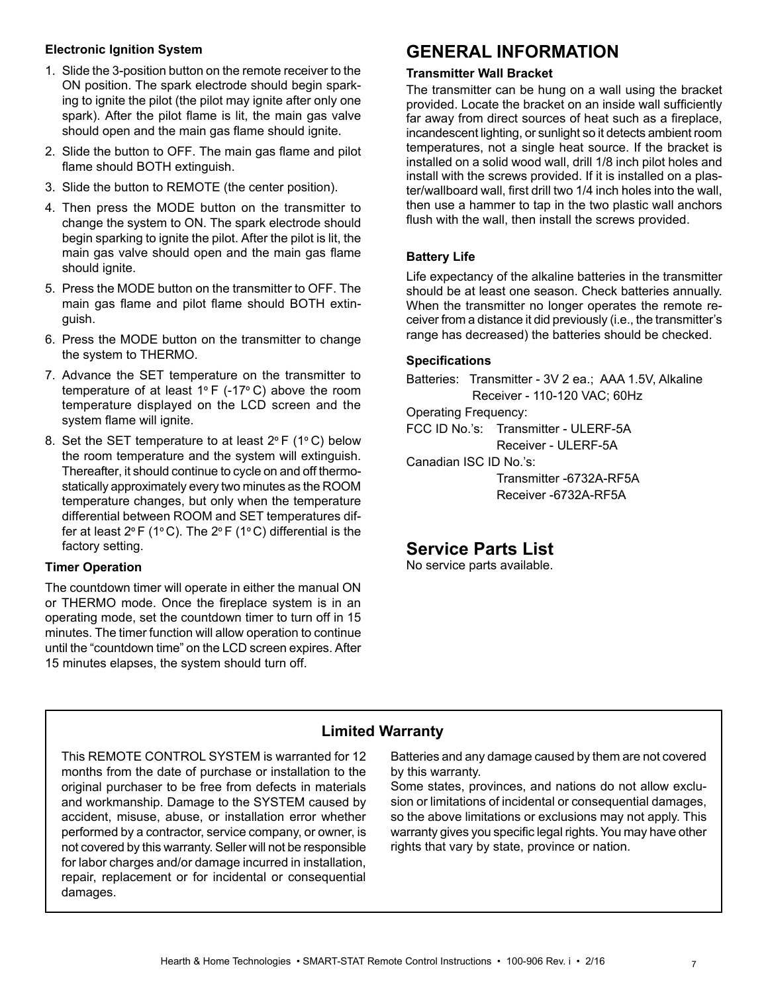#### **Electronic Ignition System**

- 1. Slide the 3-position button on the remote receiver to the ON position. The spark electrode should begin sparking to ignite the pilot (the pilot may ignite after only one spark). After the pilot flame is lit, the main gas valve should open and the main gas flame should ignite.
- 2. Slide the button to OFF. The main gas flame and pilot flame should BOTH extinguish.
- 3. Slide the button to REMOTE (the center position).
- 4. Then press the MODE button on the transmitter to change the system to ON. The spark electrode should begin sparking to ignite the pilot. After the pilot is lit, the main gas valve should open and the main gas flame should ignite.
- 5. Press the MODE button on the transmitter to OFF. The main gas flame and pilot flame should BOTH extinguish.
- 6. Press the MODE button on the transmitter to change the system to THERMO.
- 7. Advance the SET temperature on the transmitter to temperature of at least  $1^{\circ}$  F (-17 $^{\circ}$  C) above the room temperature displayed on the LCD screen and the system flame will ignite.
- 8. Set the SET temperature to at least  $2^{\circ}$  F (1°C) below the room temperature and the system will extinguish. Thereafter, it should continue to cycle on and off thermostatically approximately every two minutes as the ROOM temperature changes, but only when the temperature differential between ROOM and SET temperatures differ at least  $2^{\circ}$  F (1°C). The  $2^{\circ}$  F (1°C) differential is the factory setting.

#### **Timer Operation**

The countdown timer will operate in either the manual ON or THERMO mode. Once the fireplace system is in an operating mode, set the countdown timer to turn off in 15 minutes. The timer function will allow operation to continue until the "countdown time" on the LCD screen expires. After 15 minutes elapses, the system should turn off.

## **GENERAL INFORMATION**

#### **Transmitter Wall Bracket**

The transmitter can be hung on a wall using the bracket provided. Locate the bracket on an inside wall sufficiently far away from direct sources of heat such as a fireplace, incandescent lighting, or sunlight so it detects ambient room temperatures, not a single heat source. If the bracket is installed on a solid wood wall, drill 1/8 inch pilot holes and install with the screws provided. If it is installed on a plaster/wallboard wall, first drill two 1/4 inch holes into the wall, then use a hammer to tap in the two plastic wall anchors flush with the wall, then install the screws provided.

#### **Battery Life**

Life expectancy of the alkaline batteries in the transmitter should be at least one season. Check batteries annually. When the transmitter no longer operates the remote receiver from a distance it did previously (i.e., the transmitter's range has decreased) the batteries should be checked.

#### **Specifications**

Batteries: Transmitter - 3V 2 ea.; AAA 1.5V, Alkaline Receiver - 110-120 VAC; 60Hz Operating Frequency: FCC ID No.'s: Transmitter - ULERF-5A Receiver - ULERF-5A Canadian ISC ID No.'s: Transmitter -6732A-RF5A Receiver -6732A-RF5A

### **Service Parts List**

No service parts available.

### **Limited Warranty**

This REMOTE CONTROL SYSTEM is warranted for 12 months from the date of purchase or installation to the original purchaser to be free from defects in materials and workmanship. Damage to the SYSTEM caused by accident, misuse, abuse, or installation error whether performed by a contractor, service company, or owner, is not covered by this warranty. Seller will not be responsible for labor charges and/or damage incurred in installation, repair, replacement or for incidental or consequential damages.

Batteries and any damage caused by them are not covered by this warranty.

Some states, provinces, and nations do not allow exclusion or limitations of incidental or consequential damages, so the above limitations or exclusions may not apply. This warranty gives you specific legal rights. You may have other rights that vary by state, province or nation.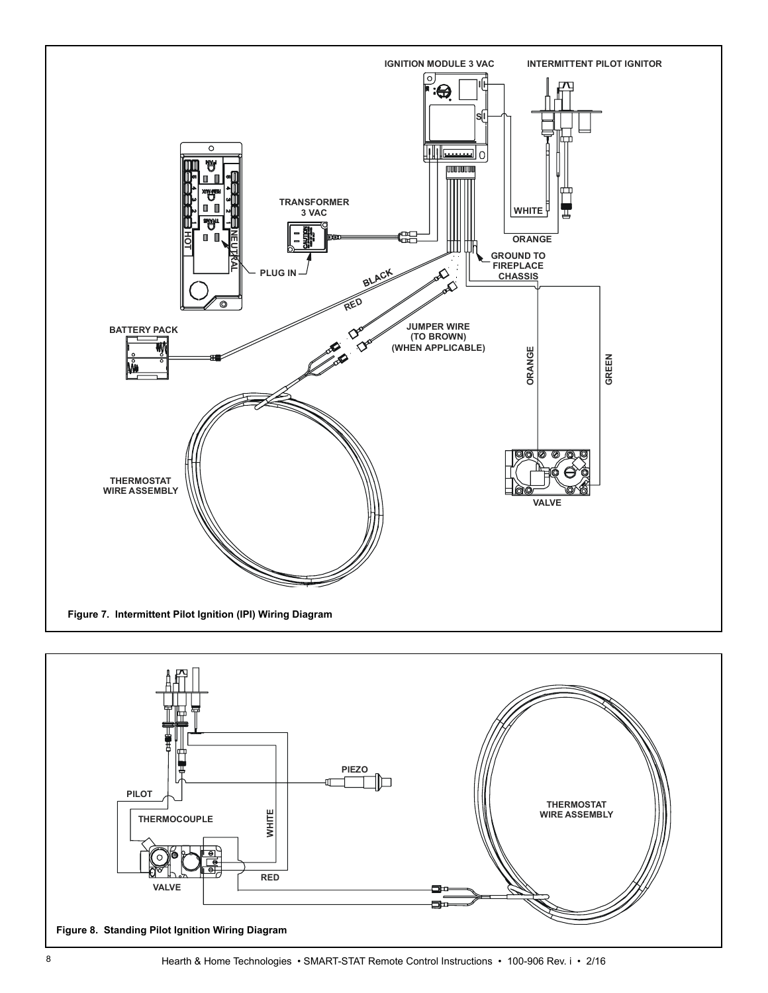